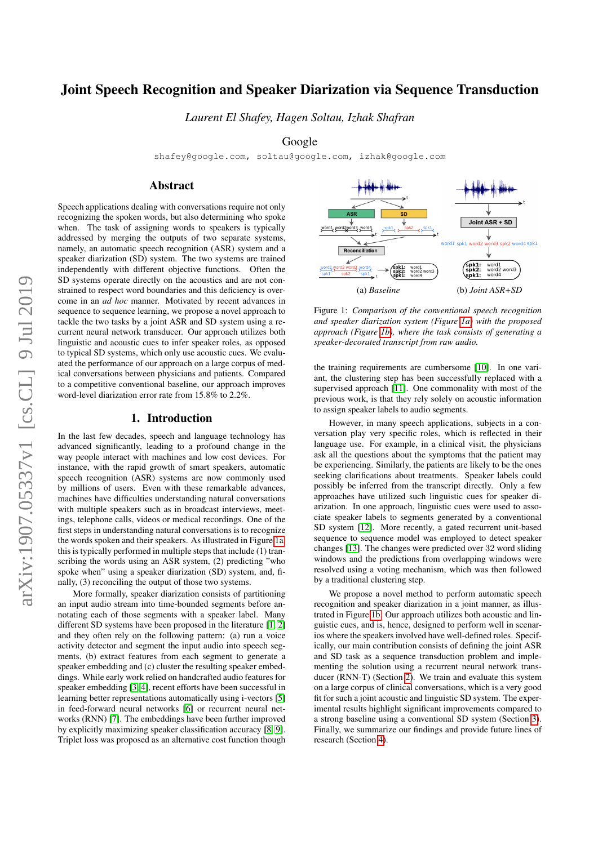# Joint Speech Recognition and Speaker Diarization via Sequence Transduction

*Laurent El Shafey, Hagen Soltau, Izhak Shafran*

# Google

shafey@google.com, soltau@google.com, izhak@google.com

# Abstract

Speech applications dealing with conversations require not only recognizing the spoken words, but also determining who spoke when. The task of assigning words to speakers is typically addressed by merging the outputs of two separate systems, namely, an automatic speech recognition (ASR) system and a speaker diarization (SD) system. The two systems are trained independently with different objective functions. Often the SD systems operate directly on the acoustics and are not constrained to respect word boundaries and this deficiency is overcome in an *ad hoc* manner. Motivated by recent advances in sequence to sequence learning, we propose a novel approach to tackle the two tasks by a joint ASR and SD system using a recurrent neural network transducer. Our approach utilizes both linguistic and acoustic cues to infer speaker roles, as opposed to typical SD systems, which only use acoustic cues. We evaluated the performance of our approach on a large corpus of medical conversations between physicians and patients. Compared to a competitive conventional baseline, our approach improves word-level diarization error rate from 15.8% to 2.2%.

### 1. Introduction

In the last few decades, speech and language technology has advanced significantly, leading to a profound change in the way people interact with machines and low cost devices. For instance, with the rapid growth of smart speakers, automatic speech recognition (ASR) systems are now commonly used by millions of users. Even with these remarkable advances, machines have difficulties understanding natural conversations with multiple speakers such as in broadcast interviews, meetings, telephone calls, videos or medical recordings. One of the first steps in understanding natural conversations is to recognize the words spoken and their speakers. As illustrated in Figure [1a,](#page-0-0) this is typically performed in multiple steps that include (1) transcribing the words using an ASR system, (2) predicting "who spoke when" using a speaker diarization (SD) system, and, finally, (3) reconciling the output of those two systems.

More formally, speaker diarization consists of partitioning an input audio stream into time-bounded segments before annotating each of those segments with a speaker label. Many different SD systems have been proposed in the literature [\[1,](#page-4-0) [2\]](#page-4-1) and they often rely on the following pattern: (a) run a voice activity detector and segment the input audio into speech segments, (b) extract features from each segment to generate a speaker embedding and (c) cluster the resulting speaker embeddings. While early work relied on handcrafted audio features for speaker embedding [\[3,](#page-4-2) [4\]](#page-4-3), recent efforts have been successful in learning better representations automatically using i-vectors [\[5\]](#page-4-4) in feed-forward neural networks [\[6\]](#page-4-5) or recurrent neural networks (RNN) [\[7\]](#page-4-6). The embeddings have been further improved by explicitly maximizing speaker classification accuracy [\[8,](#page-4-7) [9\]](#page-4-8). Triplet loss was proposed as an alternative cost function though

<span id="page-0-0"></span>

Figure 1: *Comparison of the conventional speech recognition and speaker diarization system (Figure [1a\)](#page-0-0) with the proposed approach (Figure [1b\)](#page-0-0), where the task consists of generating a speaker-decorated transcript from raw audio.*

the training requirements are cumbersome [\[10\]](#page-4-9). In one variant, the clustering step has been successfully replaced with a supervised approach [\[11\]](#page-4-10). One commonality with most of the previous work, is that they rely solely on acoustic information to assign speaker labels to audio segments.

However, in many speech applications, subjects in a conversation play very specific roles, which is reflected in their language use. For example, in a clinical visit, the physicians ask all the questions about the symptoms that the patient may be experiencing. Similarly, the patients are likely to be the ones seeking clarifications about treatments. Speaker labels could possibly be inferred from the transcript directly. Only a few approaches have utilized such linguistic cues for speaker diarization. In one approach, linguistic cues were used to associate speaker labels to segments generated by a conventional SD system [\[12\]](#page-4-11). More recently, a gated recurrent unit-based sequence to sequence model was employed to detect speaker changes [\[13\]](#page-4-12). The changes were predicted over 32 word sliding windows and the predictions from overlapping windows were resolved using a voting mechanism, which was then followed by a traditional clustering step.

We propose a novel method to perform automatic speech recognition and speaker diarization in a joint manner, as illustrated in Figure [1b.](#page-0-0) Our approach utilizes both acoustic and linguistic cues, and is, hence, designed to perform well in scenarios where the speakers involved have well-defined roles. Specifically, our main contribution consists of defining the joint ASR and SD task as a sequence transduction problem and implementing the solution using a recurrent neural network transducer (RNN-T) (Section [2\)](#page-1-0). We train and evaluate this system on a large corpus of clinical conversations, which is a very good fit for such a joint acoustic and linguistic SD system. The experimental results highlight significant improvements compared to a strong baseline using a conventional SD system (Section [3\)](#page-2-0). Finally, we summarize our findings and provide future lines of research (Section [4\)](#page-3-0).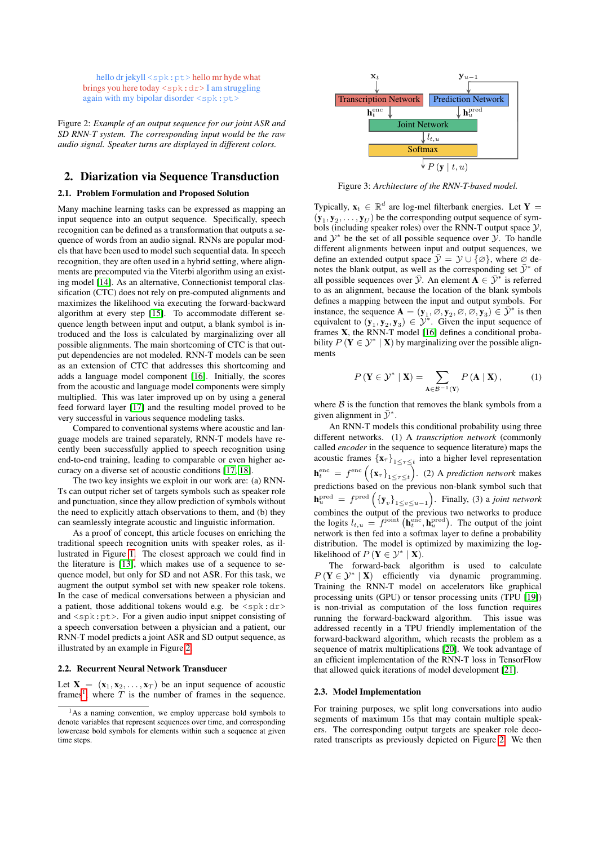<span id="page-1-1"></span>hello dr jekyll <spk: pt> hello mr hyde what brings you here today  $\langle$ spk:dr> I am struggling again with my bipolar disorder <spk:pt>

Figure 2: *Example of an output sequence for our joint ASR and SD RNN-T system. The corresponding input would be the raw audio signal. Speaker turns are displayed in different colors.*

# <span id="page-1-0"></span>2. Diarization via Sequence Transduction

#### 2.1. Problem Formulation and Proposed Solution

Many machine learning tasks can be expressed as mapping an input sequence into an output sequence. Specifically, speech recognition can be defined as a transformation that outputs a sequence of words from an audio signal. RNNs are popular models that have been used to model such sequential data. In speech recognition, they are often used in a hybrid setting, where alignments are precomputed via the Viterbi algorithm using an existing model [\[14\]](#page-4-13). As an alternative, Connectionist temporal classification (CTC) does not rely on pre-computed alignments and maximizes the likelihood via executing the forward-backward algorithm at every step [\[15\]](#page-4-14). To accommodate different sequence length between input and output, a blank symbol is introduced and the loss is calculated by marginalizing over all possible alignments. The main shortcoming of CTC is that output dependencies are not modeled. RNN-T models can be seen as an extension of CTC that addresses this shortcoming and adds a language model component [\[16\]](#page-4-15). Initially, the scores from the acoustic and language model components were simply multiplied. This was later improved up on by using a general feed forward layer [\[17\]](#page-4-16) and the resulting model proved to be very successful in various sequence modeling tasks.

Compared to conventional systems where acoustic and language models are trained separately, RNN-T models have recently been successfully applied to speech recognition using end-to-end training, leading to comparable or even higher accuracy on a diverse set of acoustic conditions [\[17,](#page-4-16) [18\]](#page-4-17).

The two key insights we exploit in our work are: (a) RNN-Ts can output richer set of targets symbols such as speaker role and punctuation, since they allow prediction of symbols without the need to explicitly attach observations to them, and (b) they can seamlessly integrate acoustic and linguistic information.

As a proof of concept, this article focuses on enriching the traditional speech recognition units with speaker roles, as illustrated in Figure [1.](#page-0-0) The closest approach we could find in the literature is [\[13\]](#page-4-12), which makes use of a sequence to sequence model, but only for SD and not ASR. For this task, we augment the output symbol set with new speaker role tokens. In the case of medical conversations between a physician and a patient, those additional tokens would e.g. be  $\langle spk: dr \rangle$ and <spk:pt>. For a given audio input snippet consisting of a speech conversation between a physician and a patient, our RNN-T model predicts a joint ASR and SD output sequence, as illustrated by an example in Figure [2.](#page-1-1)

#### 2.2. Recurrent Neural Network Transducer

Let  $X = (x_1, x_2, \dots, x_T)$  be an input sequence of acoustic frames<sup>[1](#page-1-2)</sup>, where  $T$  is the number of frames in the sequence.



Figure 3: *Architecture of the RNN-T-based model.*

Typically,  $\mathbf{x}_t \in \mathbb{R}^d$  are log-mel filterbank energies. Let Y =  $(\mathbf{y}_1, \mathbf{y}_2, \dots, \mathbf{y}_U)$  be the corresponding output sequence of symbols (including speaker roles) over the RNN-T output space  $\mathcal{Y}$ , and  $\mathcal{Y}^*$  be the set of all possible sequence over  $\mathcal{Y}$ . To handle different alignments between input and output sequences, we define an extended output space  $\bar{\mathcal{Y}} = \mathcal{Y} \cup {\emptyset}$ , where ∅ denotes the blank output, as well as the corresponding set  $\bar{\mathcal{Y}}^*$  of all possible sequences over  $\bar{y}$ . An element  $\mathbf{A} \in \bar{y}^*$  is referred to as an alignment, because the location of the blank symbols defines a mapping between the input and output symbols. For instance, the sequence  $\mathbf{A} = (\mathbf{y}_1, \emptyset, \mathbf{y}_2, \emptyset, \emptyset, \mathbf{y}_3) \in \overline{\mathcal{Y}}^*$  is then equivalent to  $(\mathbf{y}_1, \mathbf{y}_2, \mathbf{y}_3) \in \mathcal{Y}^*$ . Given the input sequence of frames X, the RNN-T model [\[16\]](#page-4-15) defines a conditional probability  $P(Y \in \mathcal{Y}^* | \mathbf{X})$  by marginalizing over the possible alignments

$$
P(\mathbf{Y} \in \mathcal{Y}^* \mid \mathbf{X}) = \sum_{\mathbf{A} \in \mathcal{B}^{-1}(\mathbf{Y})} P(\mathbf{A} \mid \mathbf{X}), \tag{1}
$$

where  $\beta$  is the function that removes the blank symbols from a given alignment in  $\bar{\mathcal{Y}}^*$ .

An RNN-T models this conditional probability using three different networks. (1) A *transcription network* (commonly called *encoder* in the sequence to sequence literature) maps the acoustic frames  $\{x_{\tau}\}_{1 \leq \tau \leq t}$  into a higher level representation  ${\bf h}_t^{\text{enc}} = f^{\text{enc}}\left(\left\{{\bf x}_{\tau}\right\}_{1 \leq \tau \leq t}\right)$ . (2) A *prediction network* makes predictions based on the previous non-blank symbol such that  $\mathbf{h}^{\text{pred}}_u = f^{\text{pred}}\left(\{\mathbf{y}_v\}_{1 \le v \le u-1}\right)$ . Finally, (3) a *joint network* combines the output of the previous two networks to produce the logits  $l_{t,u} = f^{\text{joint}}\left(\mathbf{h}_t^{\text{enc}}, \mathbf{h}_u^{\text{pred}}\right)$ . The output of the joint network is then fed into a softmax layer to define a probability distribution. The model is optimized by maximizing the loglikelihood of  $P(\mathbf{Y} \in \mathcal{Y}^* | \mathbf{X})$ .

The forward-back algorithm is used to calculate  $P(Y \in \mathcal{Y}^* | \mathbf{X})$  efficiently via dynamic programming. Training the RNN-T model on accelerators like graphical processing units (GPU) or tensor processing units (TPU [\[19\]](#page-4-18)) is non-trivial as computation of the loss function requires running the forward-backward algorithm. This issue was addressed recently in a TPU friendly implementation of the forward-backward algorithm, which recasts the problem as a sequence of matrix multiplications [\[20\]](#page-4-19). We took advantage of an efficient implementation of the RNN-T loss in TensorFlow that allowed quick iterations of model development [\[21\]](#page-4-20).

### <span id="page-1-3"></span>2.3. Model Implementation

For training purposes, we split long conversations into audio segments of maximum 15s that may contain multiple speakers. The corresponding output targets are speaker role decorated transcripts as previously depicted on Figure [2.](#page-1-1) We then

<span id="page-1-2"></span> $<sup>1</sup>$ As a naming convention, we employ uppercase bold symbols to</sup> denote variables that represent sequences over time, and corresponding lowercase bold symbols for elements within such a sequence at given time steps.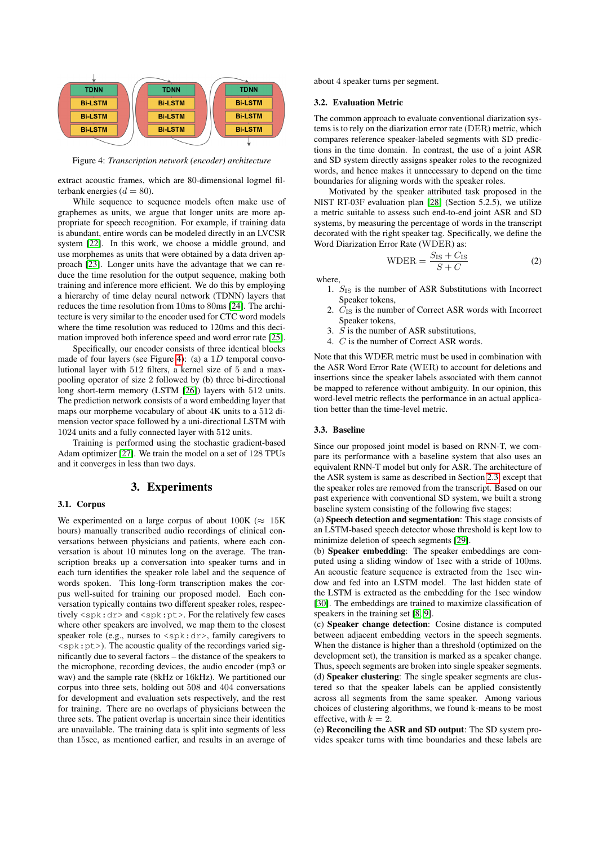<span id="page-2-1"></span>

Figure 4: *Transcription network (encoder) architecture*

extract acoustic frames, which are 80-dimensional logmel filterbank energies ( $d = 80$ ).

While sequence to sequence models often make use of graphemes as units, we argue that longer units are more appropriate for speech recognition. For example, if training data is abundant, entire words can be modeled directly in an LVCSR system [\[22\]](#page-4-21). In this work, we choose a middle ground, and use morphemes as units that were obtained by a data driven approach [\[23\]](#page-4-22). Longer units have the advantage that we can reduce the time resolution for the output sequence, making both training and inference more efficient. We do this by employing a hierarchy of time delay neural network (TDNN) layers that reduces the time resolution from 10ms to 80ms [\[24\]](#page-4-23). The architecture is very similar to the encoder used for CTC word models where the time resolution was reduced to 120ms and this decimation improved both inference speed and word error rate [\[25\]](#page-4-24).

Specifically, our encoder consists of three identical blocks made of four layers (see Figure [4\)](#page-2-1): (a) a  $1D$  temporal convolutional layer with 512 filters, a kernel size of 5 and a maxpooling operator of size 2 followed by (b) three bi-directional long short-term memory (LSTM [\[26\]](#page-4-25)) layers with 512 units. The prediction network consists of a word embedding layer that maps our morpheme vocabulary of about 4K units to a 512 dimension vector space followed by a uni-directional LSTM with 1024 units and a fully connected layer with 512 units.

Training is performed using the stochastic gradient-based Adam optimizer [\[27\]](#page-4-26). We train the model on a set of 128 TPUs and it converges in less than two days.

### 3. Experiments

### <span id="page-2-0"></span>3.1. Corpus

We experimented on a large corpus of about  $100K \approx 15K$ hours) manually transcribed audio recordings of clinical conversations between physicians and patients, where each conversation is about 10 minutes long on the average. The transcription breaks up a conversation into speaker turns and in each turn identifies the speaker role label and the sequence of words spoken. This long-form transcription makes the corpus well-suited for training our proposed model. Each conversation typically contains two different speaker roles, respectively <spk:dr> and <spk:pt>. For the relatively few cases where other speakers are involved, we map them to the closest speaker role (e.g., nurses to  $\langle$ spk:dr>, family caregivers to  $\langle$ spk:pt>). The acoustic quality of the recordings varied significantly due to several factors – the distance of the speakers to the microphone, recording devices, the audio encoder (mp3 or wav) and the sample rate (8kHz or 16kHz). We partitioned our corpus into three sets, holding out 508 and 404 conversations for development and evaluation sets respectively, and the rest for training. There are no overlaps of physicians between the three sets. The patient overlap is uncertain since their identities are unavailable. The training data is split into segments of less than 15sec, as mentioned earlier, and results in an average of about 4 speaker turns per segment.

#### 3.2. Evaluation Metric

The common approach to evaluate conventional diarization systems is to rely on the diarization error rate (DER) metric, which compares reference speaker-labeled segments with SD predictions in the time domain. In contrast, the use of a joint ASR and SD system directly assigns speaker roles to the recognized words, and hence makes it unnecessary to depend on the time boundaries for aligning words with the speaker roles.

Motivated by the speaker attributed task proposed in the NIST RT-03F evaluation plan [\[28\]](#page-4-27) (Section 5.2.5), we utilize a metric suitable to assess such end-to-end joint ASR and SD systems, by measuring the percentage of words in the transcript decorated with the right speaker tag. Specifically, we define the Word Diarization Error Rate (WDER) as:

$$
WDER = \frac{S_{IS} + C_{IS}}{S + C}
$$
 (2)

where,

- 1.  $S$ <sub>IS</sub> is the number of ASR Substitutions with Incorrect Speaker tokens,
- 2.  $C_{\text{IS}}$  is the number of Correct ASR words with Incorrect Speaker tokens,
- 3. S is the number of ASR substitutions,
- 4. C is the number of Correct ASR words.

Note that this WDER metric must be used in combination with the ASR Word Error Rate (WER) to account for deletions and insertions since the speaker labels associated with them cannot be mapped to reference without ambiguity. In our opinion, this word-level metric reflects the performance in an actual application better than the time-level metric.

### 3.3. Baseline

Since our proposed joint model is based on RNN-T, we compare its performance with a baseline system that also uses an equivalent RNN-T model but only for ASR. The architecture of the ASR system is same as described in Section [2.3,](#page-1-3) except that the speaker roles are removed from the transcript. Based on our past experience with conventional SD system, we built a strong baseline system consisting of the following five stages:

(a) Speech detection and segmentation: This stage consists of an LSTM-based speech detector whose threshold is kept low to minimize deletion of speech segments [\[29\]](#page-4-28).

(b) Speaker embedding: The speaker embeddings are computed using a sliding window of 1sec with a stride of 100ms. An acoustic feature sequence is extracted from the 1sec window and fed into an LSTM model. The last hidden state of the LSTM is extracted as the embedding for the 1sec window [\[30\]](#page-4-29). The embeddings are trained to maximize classification of speakers in the training set [\[8,](#page-4-7) [9\]](#page-4-8).

(c) Speaker change detection: Cosine distance is computed between adjacent embedding vectors in the speech segments. When the distance is higher than a threshold (optimized on the development set), the transition is marked as a speaker change. Thus, speech segments are broken into single speaker segments.

(d) Speaker clustering: The single speaker segments are clustered so that the speaker labels can be applied consistently across all segments from the same speaker. Among various choices of clustering algorithms, we found k-means to be most effective, with  $k = 2$ .

(e) Reconciling the ASR and SD output: The SD system provides speaker turns with time boundaries and these labels are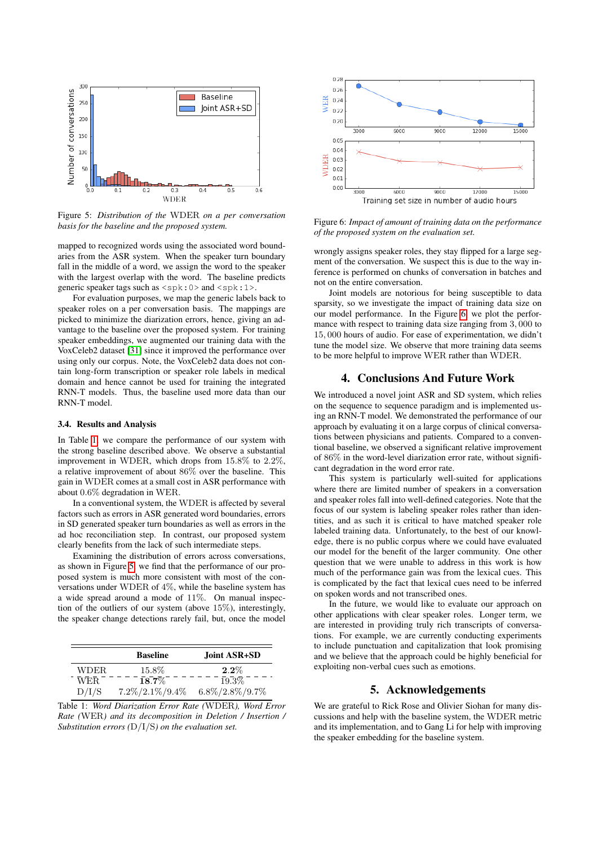<span id="page-3-2"></span>

Figure 5: *Distribution of the* WDER *on a per conversation basis for the baseline and the proposed system.*

mapped to recognized words using the associated word boundaries from the ASR system. When the speaker turn boundary fall in the middle of a word, we assign the word to the speaker with the largest overlap with the word. The baseline predicts generic speaker tags such as  $\langle spk:0 \rangle$  and  $\langle spk:1 \rangle$ .

For evaluation purposes, we map the generic labels back to speaker roles on a per conversation basis. The mappings are picked to minimize the diarization errors, hence, giving an advantage to the baseline over the proposed system. For training speaker embeddings, we augmented our training data with the VoxCeleb2 dataset [\[31\]](#page-4-30) since it improved the performance over using only our corpus. Note, the VoxCeleb2 data does not contain long-form transcription or speaker role labels in medical domain and hence cannot be used for training the integrated RNN-T models. Thus, the baseline used more data than our RNN-T model.

### 3.4. Results and Analysis

In Table [1,](#page-3-1) we compare the performance of our system with the strong baseline described above. We observe a substantial improvement in WDER, which drops from 15.8% to 2.2%, a relative improvement of about 86% over the baseline. This gain in WDER comes at a small cost in ASR performance with about 0.6% degradation in WER.

In a conventional system, the WDER is affected by several factors such as errors in ASR generated word boundaries, errors in SD generated speaker turn boundaries as well as errors in the ad hoc reconciliation step. In contrast, our proposed system clearly benefits from the lack of such intermediate steps.

Examining the distribution of errors across conversations, as shown in Figure [5,](#page-3-2) we find that the performance of our proposed system is much more consistent with most of the conversations under WDER of 4%, while the baseline system has a wide spread around a mode of 11%. On manual inspection of the outliers of our system (above 15%), interestingly, the speaker change detections rarely fail, but, once the model

<span id="page-3-1"></span>

|       | <b>Baseline</b>     | Joint ASR+SD        |
|-------|---------------------|---------------------|
| WDER. | 15.8%               | $2.2\%$             |
| WER.  | $18.7\%$            | 19.3%               |
| D/I/S | $7.2\%/2.1\%/9.4\%$ | $6.8\%/2.8\%/9.7\%$ |

Table 1: *Word Diarization Error Rate (*WDER*), Word Error Rate (*WER*) and its decomposition in Deletion / Insertion / Substitution errors (*D/I/S*) on the evaluation set.*

<span id="page-3-3"></span>

Figure 6: *Impact of amount of training data on the performance of the proposed system on the evaluation set.*

wrongly assigns speaker roles, they stay flipped for a large segment of the conversation. We suspect this is due to the way inference is performed on chunks of conversation in batches and not on the entire conversation.

Joint models are notorious for being susceptible to data sparsity, so we investigate the impact of training data size on our model performance. In the Figure [6,](#page-3-3) we plot the performance with respect to training data size ranging from 3, 000 to 15, 000 hours of audio. For ease of experimentation, we didn't tune the model size. We observe that more training data seems to be more helpful to improve WER rather than WDER.

# 4. Conclusions And Future Work

<span id="page-3-0"></span>We introduced a novel joint ASR and SD system, which relies on the sequence to sequence paradigm and is implemented using an RNN-T model. We demonstrated the performance of our approach by evaluating it on a large corpus of clinical conversations between physicians and patients. Compared to a conventional baseline, we observed a significant relative improvement of 86% in the word-level diarization error rate, without significant degradation in the word error rate.

This system is particularly well-suited for applications where there are limited number of speakers in a conversation and speaker roles fall into well-defined categories. Note that the focus of our system is labeling speaker roles rather than identities, and as such it is critical to have matched speaker role labeled training data. Unfortunately, to the best of our knowledge, there is no public corpus where we could have evaluated our model for the benefit of the larger community. One other question that we were unable to address in this work is how much of the performance gain was from the lexical cues. This is complicated by the fact that lexical cues need to be inferred on spoken words and not transcribed ones.

In the future, we would like to evaluate our approach on other applications with clear speaker roles. Longer term, we are interested in providing truly rich transcripts of conversations. For example, we are currently conducting experiments to include punctuation and capitalization that look promising and we believe that the approach could be highly beneficial for exploiting non-verbal cues such as emotions.

## 5. Acknowledgements

We are grateful to Rick Rose and Olivier Siohan for many discussions and help with the baseline system, the WDER metric and its implementation, and to Gang Li for help with improving the speaker embedding for the baseline system.